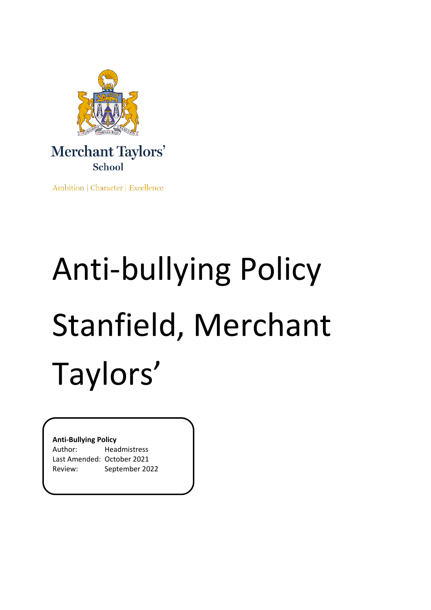

# Merchant Taylors' School

Ambition | Character | Excellence

# Anti-bullying Policy Stanfield, Merchant Taylors'

#### **Anti-Bullying Policy**

| Author:                    | Headmistress   |
|----------------------------|----------------|
| Last Amended: October 2021 |                |
| Review:                    | September 2022 |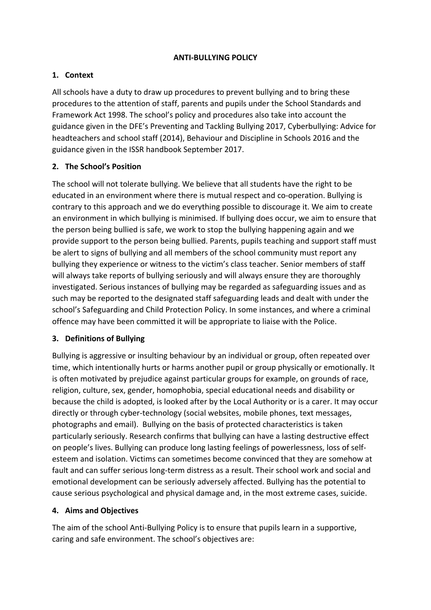#### **ANTI-BULLYING POLICY**

#### **1. Context**

All schools have a duty to draw up procedures to prevent bullying and to bring these procedures to the attention of staff, parents and pupils under the School Standards and Framework Act 1998. The school's policy and procedures also take into account the guidance given in the DFE's Preventing and Tackling Bullying 2017, Cyberbullying: Advice for headteachers and school staff (2014), Behaviour and Discipline in Schools 2016 and the guidance given in the ISSR handbook September 2017.

#### **2. The School's Position**

The school will not tolerate bullying. We believe that all students have the right to be educated in an environment where there is mutual respect and co-operation. Bullying is contrary to this approach and we do everything possible to discourage it. We aim to create an environment in which bullying is minimised. If bullying does occur, we aim to ensure that the person being bullied is safe, we work to stop the bullying happening again and we provide support to the person being bullied. Parents, pupils teaching and support staff must be alert to signs of bullying and all members of the school community must report any bullying they experience or witness to the victim's class teacher. Senior members of staff will always take reports of bullying seriously and will always ensure they are thoroughly investigated. Serious instances of bullying may be regarded as safeguarding issues and as such may be reported to the designated staff safeguarding leads and dealt with under the school's Safeguarding and Child Protection Policy. In some instances, and where a criminal offence may have been committed it will be appropriate to liaise with the Police.

#### **3. Definitions of Bullying**

Bullying is aggressive or insulting behaviour by an individual or group, often repeated over time, which intentionally hurts or harms another pupil or group physically or emotionally. It is often motivated by prejudice against particular groups for example, on grounds of race, religion, culture, sex, gender, homophobia, special educational needs and disability or because the child is adopted, is looked after by the Local Authority or is a carer. It may occur directly or through cyber-technology (social websites, mobile phones, text messages, photographs and email). Bullying on the basis of protected characteristics is taken particularly seriously. Research confirms that bullying can have a lasting destructive effect on people's lives. Bullying can produce long lasting feelings of powerlessness, loss of selfesteem and isolation. Victims can sometimes become convinced that they are somehow at fault and can suffer serious long-term distress as a result. Their school work and social and emotional development can be seriously adversely affected. Bullying has the potential to cause serious psychological and physical damage and, in the most extreme cases, suicide.

#### **4. Aims and Objectives**

The aim of the school Anti-Bullying Policy is to ensure that pupils learn in a supportive, caring and safe environment. The school's objectives are: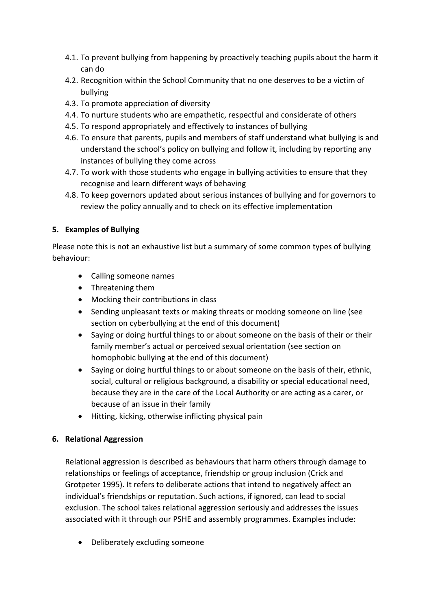- 4.1. To prevent bullying from happening by proactively teaching pupils about the harm it can do
- 4.2. Recognition within the School Community that no one deserves to be a victim of bullying
- 4.3. To promote appreciation of diversity
- 4.4. To nurture students who are empathetic, respectful and considerate of others
- 4.5. To respond appropriately and effectively to instances of bullying
- 4.6. To ensure that parents, pupils and members of staff understand what bullying is and understand the school's policy on bullying and follow it, including by reporting any instances of bullying they come across
- 4.7. To work with those students who engage in bullying activities to ensure that they recognise and learn different ways of behaving
- 4.8. To keep governors updated about serious instances of bullying and for governors to review the policy annually and to check on its effective implementation

# **5. Examples of Bullying**

Please note this is not an exhaustive list but a summary of some common types of bullying behaviour:

- Calling someone names
- Threatening them
- Mocking their contributions in class
- Sending unpleasant texts or making threats or mocking someone on line (see section on cyberbullying at the end of this document)
- Saying or doing hurtful things to or about someone on the basis of their or their family member's actual or perceived sexual orientation (see section on homophobic bullying at the end of this document)
- Saying or doing hurtful things to or about someone on the basis of their, ethnic, social, cultural or religious background, a disability or special educational need, because they are in the care of the Local Authority or are acting as a carer, or because of an issue in their family
- Hitting, kicking, otherwise inflicting physical pain

# **6. Relational Aggression**

Relational aggression is described as behaviours that harm others through damage to relationships or feelings of acceptance, friendship or group inclusion (Crick and Grotpeter 1995). It refers to deliberate actions that intend to negatively affect an individual's friendships or reputation. Such actions, if ignored, can lead to social exclusion. The school takes relational aggression seriously and addresses the issues associated with it through our PSHE and assembly programmes. Examples include:

• Deliberately excluding someone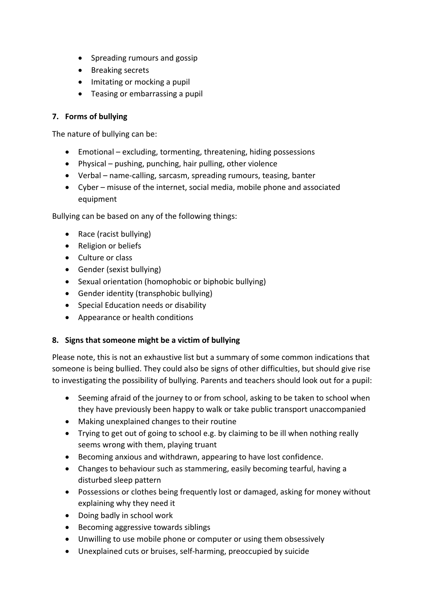- Spreading rumours and gossip
- Breaking secrets
- Imitating or mocking a pupil
- Teasing or embarrassing a pupil

#### **7. Forms of bullying**

The nature of bullying can be:

- Emotional excluding, tormenting, threatening, hiding possessions
- Physical pushing, punching, hair pulling, other violence
- Verbal name-calling, sarcasm, spreading rumours, teasing, banter
- Cyber misuse of the internet, social media, mobile phone and associated equipment

Bullying can be based on any of the following things:

- Race (racist bullying)
- Religion or beliefs
- Culture or class
- Gender (sexist bullying)
- Sexual orientation (homophobic or biphobic bullying)
- Gender identity (transphobic bullying)
- Special Education needs or disability
- Appearance or health conditions

#### **8. Signs that someone might be a victim of bullying**

Please note, this is not an exhaustive list but a summary of some common indications that someone is being bullied. They could also be signs of other difficulties, but should give rise to investigating the possibility of bullying. Parents and teachers should look out for a pupil:

- Seeming afraid of the journey to or from school, asking to be taken to school when they have previously been happy to walk or take public transport unaccompanied
- Making unexplained changes to their routine
- Trying to get out of going to school e.g. by claiming to be ill when nothing really seems wrong with them, playing truant
- Becoming anxious and withdrawn, appearing to have lost confidence.
- Changes to behaviour such as stammering, easily becoming tearful, having a disturbed sleep pattern
- Possessions or clothes being frequently lost or damaged, asking for money without explaining why they need it
- Doing badly in school work
- Becoming aggressive towards siblings
- Unwilling to use mobile phone or computer or using them obsessively
- Unexplained cuts or bruises, self-harming, preoccupied by suicide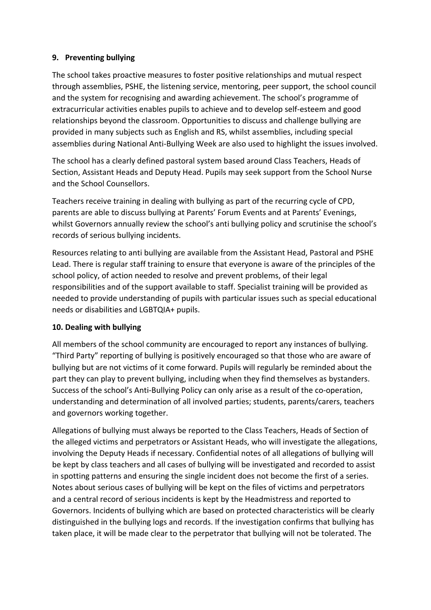#### **9. Preventing bullying**

The school takes proactive measures to foster positive relationships and mutual respect through assemblies, PSHE, the listening service, mentoring, peer support, the school council and the system for recognising and awarding achievement. The school's programme of extracurricular activities enables pupils to achieve and to develop self-esteem and good relationships beyond the classroom. Opportunities to discuss and challenge bullying are provided in many subjects such as English and RS, whilst assemblies, including special assemblies during National Anti-Bullying Week are also used to highlight the issues involved.

The school has a clearly defined pastoral system based around Class Teachers, Heads of Section, Assistant Heads and Deputy Head. Pupils may seek support from the School Nurse and the School Counsellors.

Teachers receive training in dealing with bullying as part of the recurring cycle of CPD, parents are able to discuss bullying at Parents' Forum Events and at Parents' Evenings, whilst Governors annually review the school's anti bullying policy and scrutinise the school's records of serious bullying incidents.

Resources relating to anti bullying are available from the Assistant Head, Pastoral and PSHE Lead. There is regular staff training to ensure that everyone is aware of the principles of the school policy, of action needed to resolve and prevent problems, of their legal responsibilities and of the support available to staff. Specialist training will be provided as needed to provide understanding of pupils with particular issues such as special educational needs or disabilities and LGBTQIA+ pupils.

#### **10. Dealing with bullying**

All members of the school community are encouraged to report any instances of bullying. "Third Party" reporting of bullying is positively encouraged so that those who are aware of bullying but are not victims of it come forward. Pupils will regularly be reminded about the part they can play to prevent bullying, including when they find themselves as bystanders. Success of the school's Anti-Bullying Policy can only arise as a result of the co-operation, understanding and determination of all involved parties; students, parents/carers, teachers and governors working together.

Allegations of bullying must always be reported to the Class Teachers, Heads of Section of the alleged victims and perpetrators or Assistant Heads, who will investigate the allegations, involving the Deputy Heads if necessary. Confidential notes of all allegations of bullying will be kept by class teachers and all cases of bullying will be investigated and recorded to assist in spotting patterns and ensuring the single incident does not become the first of a series. Notes about serious cases of bullying will be kept on the files of victims and perpetrators and a central record of serious incidents is kept by the Headmistress and reported to Governors. Incidents of bullying which are based on protected characteristics will be clearly distinguished in the bullying logs and records. If the investigation confirms that bullying has taken place, it will be made clear to the perpetrator that bullying will not be tolerated. The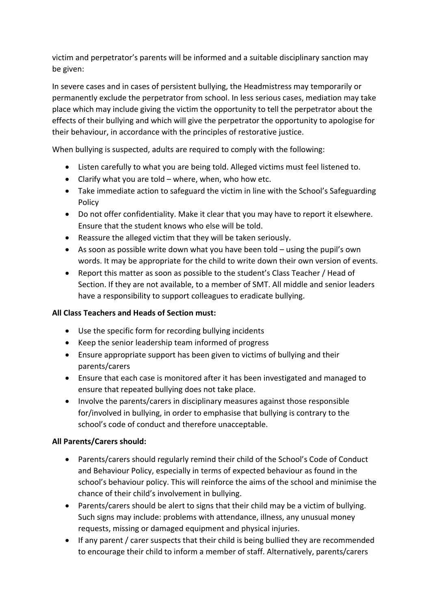victim and perpetrator's parents will be informed and a suitable disciplinary sanction may be given:

In severe cases and in cases of persistent bullying, the Headmistress may temporarily or permanently exclude the perpetrator from school. In less serious cases, mediation may take place which may include giving the victim the opportunity to tell the perpetrator about the effects of their bullying and which will give the perpetrator the opportunity to apologise for their behaviour, in accordance with the principles of restorative justice.

When bullying is suspected, adults are required to comply with the following:

- Listen carefully to what you are being told. Alleged victims must feel listened to.
- Clarify what you are told where, when, who how etc.
- Take immediate action to safeguard the victim in line with the School's Safeguarding Policy
- Do not offer confidentiality. Make it clear that you may have to report it elsewhere. Ensure that the student knows who else will be told.
- Reassure the alleged victim that they will be taken seriously.
- As soon as possible write down what you have been told using the pupil's own words. It may be appropriate for the child to write down their own version of events.
- Report this matter as soon as possible to the student's Class Teacher / Head of Section. If they are not available, to a member of SMT. All middle and senior leaders have a responsibility to support colleagues to eradicate bullying.

# **All Class Teachers and Heads of Section must:**

- Use the specific form for recording bullying incidents
- Keep the senior leadership team informed of progress
- Ensure appropriate support has been given to victims of bullying and their parents/carers
- Ensure that each case is monitored after it has been investigated and managed to ensure that repeated bullying does not take place.
- Involve the parents/carers in disciplinary measures against those responsible for/involved in bullying, in order to emphasise that bullying is contrary to the school's code of conduct and therefore unacceptable.

# **All Parents/Carers should:**

- Parents/carers should regularly remind their child of the School's Code of Conduct and Behaviour Policy, especially in terms of expected behaviour as found in the school's behaviour policy. This will reinforce the aims of the school and minimise the chance of their child's involvement in bullying.
- Parents/carers should be alert to signs that their child may be a victim of bullying. Such signs may include: problems with attendance, illness, any unusual money requests, missing or damaged equipment and physical injuries.
- If any parent / carer suspects that their child is being bullied they are recommended to encourage their child to inform a member of staff. Alternatively, parents/carers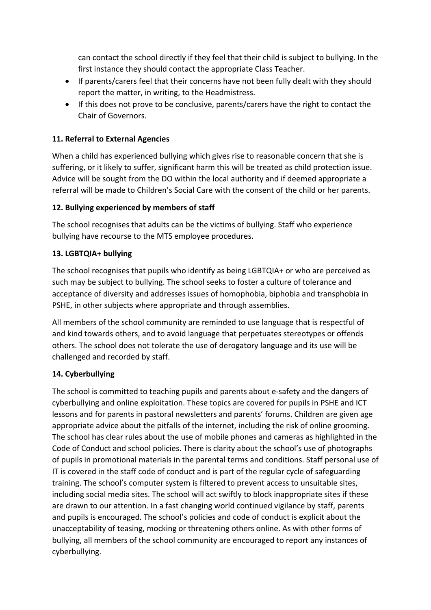can contact the school directly if they feel that their child is subject to bullying. In the first instance they should contact the appropriate Class Teacher.

- If parents/carers feel that their concerns have not been fully dealt with they should report the matter, in writing, to the Headmistress.
- If this does not prove to be conclusive, parents/carers have the right to contact the Chair of Governors.

## **11. Referral to External Agencies**

When a child has experienced bullying which gives rise to reasonable concern that she is suffering, or it likely to suffer, significant harm this will be treated as child protection issue. Advice will be sought from the DO within the local authority and if deemed appropriate a referral will be made to Children's Social Care with the consent of the child or her parents.

#### **12. Bullying experienced by members of staff**

The school recognises that adults can be the victims of bullying. Staff who experience bullying have recourse to the MTS employee procedures.

#### **13. LGBTQIA+ bullying**

The school recognises that pupils who identify as being LGBTQIA+ or who are perceived as such may be subject to bullying. The school seeks to foster a culture of tolerance and acceptance of diversity and addresses issues of homophobia, biphobia and transphobia in PSHE, in other subjects where appropriate and through assemblies.

All members of the school community are reminded to use language that is respectful of and kind towards others, and to avoid language that perpetuates stereotypes or offends others. The school does not tolerate the use of derogatory language and its use will be challenged and recorded by staff.

#### **14. Cyberbullying**

The school is committed to teaching pupils and parents about e-safety and the dangers of cyberbullying and online exploitation. These topics are covered for pupils in PSHE and ICT lessons and for parents in pastoral newsletters and parents' forums. Children are given age appropriate advice about the pitfalls of the internet, including the risk of online grooming. The school has clear rules about the use of mobile phones and cameras as highlighted in the Code of Conduct and school policies. There is clarity about the school's use of photographs of pupils in promotional materials in the parental terms and conditions. Staff personal use of IT is covered in the staff code of conduct and is part of the regular cycle of safeguarding training. The school's computer system is filtered to prevent access to unsuitable sites, including social media sites. The school will act swiftly to block inappropriate sites if these are drawn to our attention. In a fast changing world continued vigilance by staff, parents and pupils is encouraged. The school's policies and code of conduct is explicit about the unacceptability of teasing, mocking or threatening others online. As with other forms of bullying, all members of the school community are encouraged to report any instances of cyberbullying.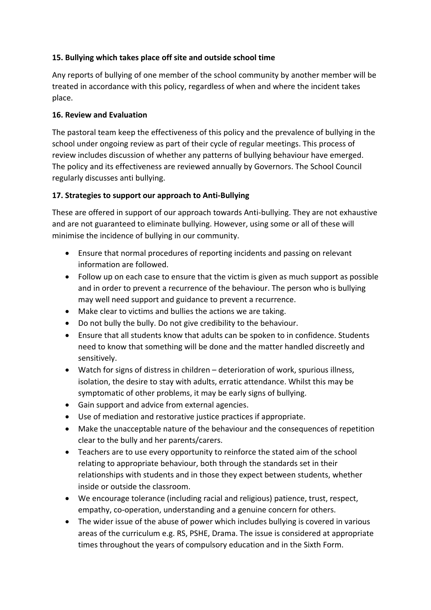# **15. Bullying which takes place off site and outside school time**

Any reports of bullying of one member of the school community by another member will be treated in accordance with this policy, regardless of when and where the incident takes place.

#### **16. Review and Evaluation**

The pastoral team keep the effectiveness of this policy and the prevalence of bullying in the school under ongoing review as part of their cycle of regular meetings. This process of review includes discussion of whether any patterns of bullying behaviour have emerged. The policy and its effectiveness are reviewed annually by Governors. The School Council regularly discusses anti bullying.

# **17. Strategies to support our approach to Anti-Bullying**

These are offered in support of our approach towards Anti-bullying. They are not exhaustive and are not guaranteed to eliminate bullying. However, using some or all of these will minimise the incidence of bullying in our community.

- Ensure that normal procedures of reporting incidents and passing on relevant information are followed.
- Follow up on each case to ensure that the victim is given as much support as possible and in order to prevent a recurrence of the behaviour. The person who is bullying may well need support and guidance to prevent a recurrence.
- Make clear to victims and bullies the actions we are taking.
- Do not bully the bully. Do not give credibility to the behaviour.
- Ensure that all students know that adults can be spoken to in confidence. Students need to know that something will be done and the matter handled discreetly and sensitively.
- Watch for signs of distress in children deterioration of work, spurious illness, isolation, the desire to stay with adults, erratic attendance. Whilst this may be symptomatic of other problems, it may be early signs of bullying.
- Gain support and advice from external agencies.
- Use of mediation and restorative justice practices if appropriate.
- Make the unacceptable nature of the behaviour and the consequences of repetition clear to the bully and her parents/carers.
- Teachers are to use every opportunity to reinforce the stated aim of the school relating to appropriate behaviour, both through the standards set in their relationships with students and in those they expect between students, whether inside or outside the classroom.
- We encourage tolerance (including racial and religious) patience, trust, respect, empathy, co-operation, understanding and a genuine concern for others.
- The wider issue of the abuse of power which includes bullying is covered in various areas of the curriculum e.g. RS, PSHE, Drama. The issue is considered at appropriate times throughout the years of compulsory education and in the Sixth Form.